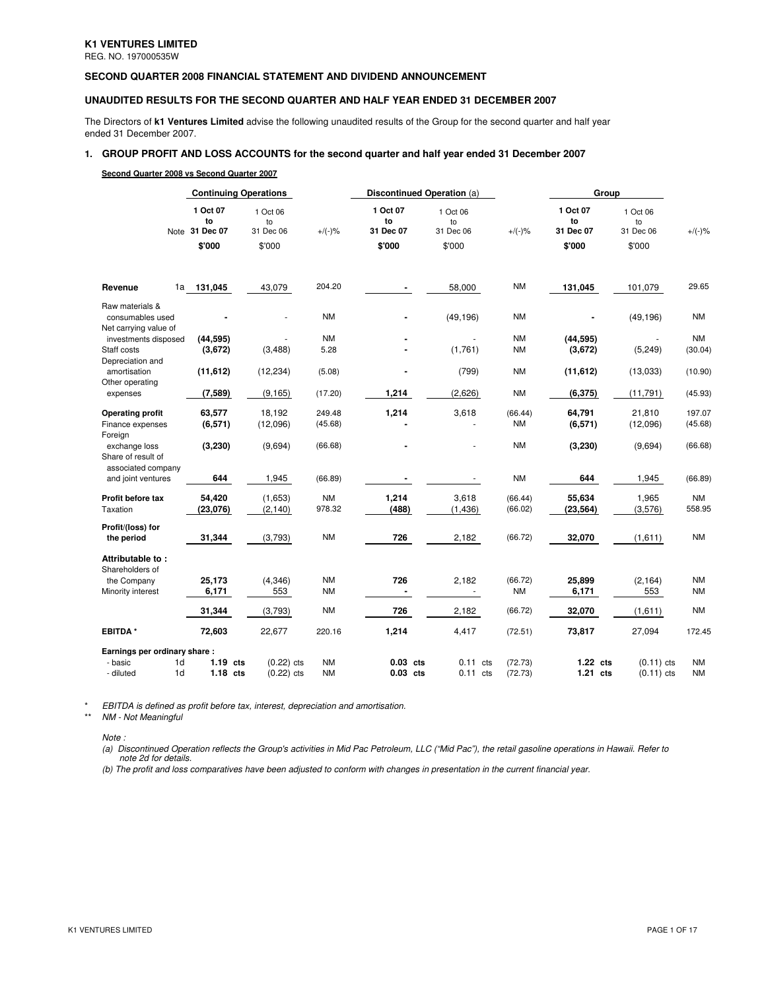REG. NO. 197000535W

## **SECOND QUARTER 2008 FINANCIAL STATEMENT AND DIVIDEND ANNOUNCEMENT**

## **UNAUDITED RESULTS FOR THE SECOND QUARTER AND HALF YEAR ENDED 31 DECEMBER 2007**

The Directors of **k1 Ventures Limited** advise the following unaudited results of the Group for the second quarter and half year ended 31 December 2007.

# **1. GROUP PROFIT AND LOSS ACCOUNTS for the second quarter and half year ended 31 December 2007**

## **Second Quarter 2008 vs Second Quarter 2007**

|                                                                  |                                            | <b>Continuing Operations</b>          |                        | Discontinued Operation (a)            |                                       |                        |                                       | Group                                 |                        |
|------------------------------------------------------------------|--------------------------------------------|---------------------------------------|------------------------|---------------------------------------|---------------------------------------|------------------------|---------------------------------------|---------------------------------------|------------------------|
|                                                                  | 1 Oct 07<br>to<br>Note 31 Dec 07<br>\$'000 | 1 Oct 06<br>to<br>31 Dec 06<br>\$'000 | $+/(-)$ %              | 1 Oct 07<br>to<br>31 Dec 07<br>\$'000 | 1 Oct 06<br>to<br>31 Dec 06<br>\$'000 | $+/(-)$ %              | 1 Oct 07<br>to<br>31 Dec 07<br>\$'000 | 1 Oct 06<br>to<br>31 Dec 06<br>\$'000 | $+/(-)$ %              |
| Revenue<br>1a                                                    | 131,045                                    | 43,079                                | 204.20                 | $\blacksquare$                        | 58,000                                | <b>NM</b>              | 131,045                               | 101,079                               | 29.65                  |
| Raw materials &<br>consumables used<br>Net carrying value of     |                                            |                                       | <b>NM</b>              |                                       | (49, 196)                             | <b>NM</b>              |                                       | (49, 196)                             | <b>NM</b>              |
| investments disposed<br>Staff costs<br>Depreciation and          | (44, 595)<br>(3,672)                       | (3, 488)                              | <b>NM</b><br>5.28      |                                       | (1,761)                               | <b>NM</b><br><b>NM</b> | (44, 595)<br>(3,672)                  | (5, 249)                              | <b>NM</b><br>(30.04)   |
| amortisation<br>Other operating                                  | (11, 612)                                  | (12, 234)                             | (5.08)                 |                                       | (799)                                 | <b>NM</b>              | (11, 612)                             | (13,033)                              | (10.90)                |
| expenses                                                         | (7,589)                                    | (9, 165)                              | (17.20)                | 1,214                                 | (2,626)                               | <b>NM</b>              | (6, 375)                              | (11, 791)                             | (45.93)                |
| <b>Operating profit</b><br>Finance expenses<br>Foreign           | 63,577<br>(6, 571)                         | 18,192<br>(12,096)                    | 249.48<br>(45.68)      | 1,214                                 | 3,618                                 | (66.44)<br><b>NM</b>   | 64,791<br>(6,571)                     | 21,810<br>(12,096)                    | 197.07<br>(45.68)      |
| exchange loss<br>Share of result of                              | (3,230)                                    | (9,694)                               | (66.68)                |                                       | ÷.                                    | <b>NM</b>              | (3,230)                               | (9,694)                               | (66.68)                |
| associated company<br>and joint ventures                         | 644                                        | 1,945                                 | (66.89)                | $\blacksquare$                        |                                       | <b>NM</b>              | 644                                   | 1,945                                 | (66.89)                |
| Profit before tax<br>Taxation                                    | 54,420<br>(23,076)                         | (1,653)<br>(2, 140)                   | <b>NM</b><br>978.32    | 1,214<br>(488)                        | 3,618<br>(1, 436)                     | (66.44)<br>(66.02)     | 55,634<br>(23, 564)                   | 1,965<br>(3, 576)                     | <b>NM</b><br>558.95    |
| Profit/(loss) for<br>the period                                  | 31,344                                     | (3,793)                               | <b>NM</b>              | 726                                   | 2,182                                 | (66.72)                | 32,070                                | (1,611)                               | <b>NM</b>              |
| Attributable to:<br>Shareholders of                              |                                            |                                       |                        |                                       |                                       |                        |                                       |                                       |                        |
| the Company<br>Minority interest                                 | 25,173<br>6,171                            | (4, 346)<br>553                       | <b>NM</b><br><b>NM</b> | 726<br>$\blacksquare$                 | 2,182<br>$\sim$                       | (66.72)<br><b>NM</b>   | 25,899<br>6,171                       | (2, 164)<br>553                       | <b>NM</b><br><b>NM</b> |
|                                                                  | 31,344                                     | (3,793)                               | <b>NM</b>              | 726                                   | 2,182                                 | (66.72)                | 32,070                                | (1,611)                               | <b>NM</b>              |
| <b>EBITDA*</b>                                                   | 72,603                                     | 22,677                                | 220.16                 | 1,214                                 | 4,417                                 | (72.51)                | 73,817                                | 27,094                                | 172.45                 |
| Earnings per ordinary share:<br>1d<br>- basic<br>1d<br>- diluted | $1.19$ cts<br>$1.18$ cts                   | $(0.22)$ cts<br>$(0.22)$ cts          | <b>NM</b><br><b>NM</b> | $0.03$ cts<br>$0.03$ cts              | $0.11$ cts<br>$0.11$ cts              | (72.73)<br>(72.73)     | $1.22$ cts<br>$1.21$ cts              | $(0.11)$ cts<br>$(0.11)$ cts          | <b>NM</b><br><b>NM</b> |

\* EBITDA is defined as profit before tax, interest, depreciation and amortisation.

\*\* NM - Not Meaningful

Note :

(a) Discontinued Operation reflects the Group's activities in Mid Pac Petroleum, LLC ("Mid Pac"), the retail gasoline operations in Hawaii. Refer to note 2d for details.

(b) The profit and loss comparatives have been adjusted to conform with changes in presentation in the current financial year.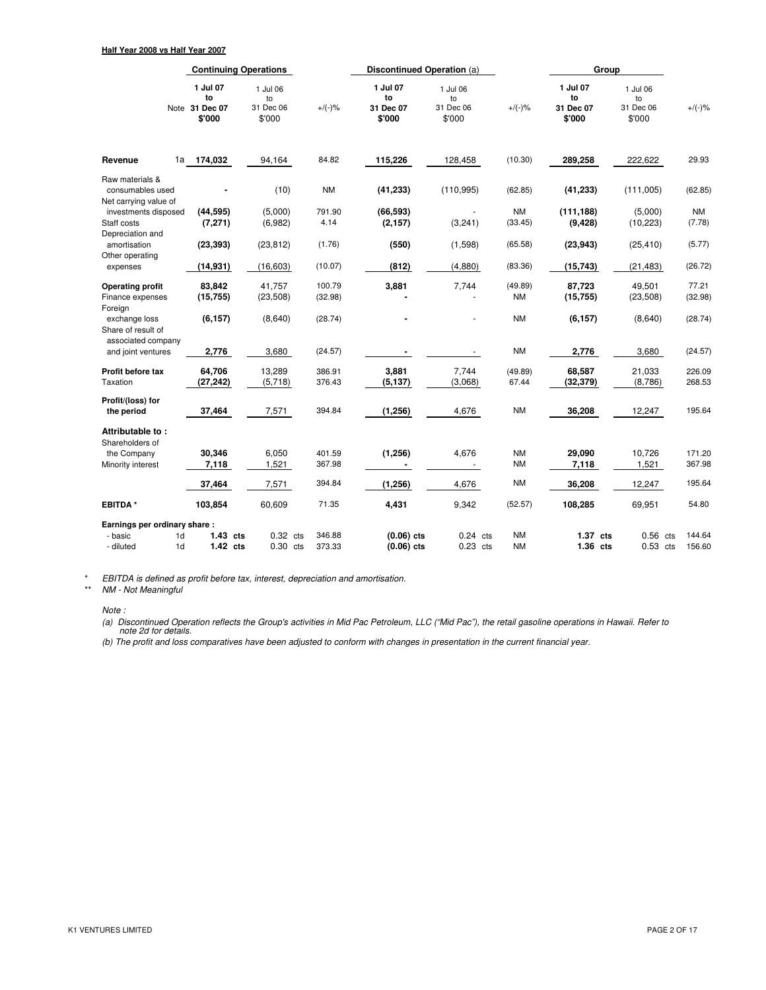|                                                              |                                       | <b>Continuing Operations</b>          |                   | Discontinued Operation (a)            |                                       |                        | Group                                 |                                       |                  |
|--------------------------------------------------------------|---------------------------------------|---------------------------------------|-------------------|---------------------------------------|---------------------------------------|------------------------|---------------------------------------|---------------------------------------|------------------|
| Note                                                         | 1 Jul 07<br>to<br>31 Dec 07<br>\$'000 | 1 Jul 06<br>to<br>31 Dec 06<br>\$'000 | $+/(-)$ %         | 1 Jul 07<br>to<br>31 Dec 07<br>\$'000 | 1 Jul 06<br>to<br>31 Dec 06<br>\$'000 | $+/(-)$ %              | 1 Jul 07<br>to<br>31 Dec 07<br>\$'000 | 1 Jul 06<br>to<br>31 Dec 06<br>\$'000 | $+/(-)$ %        |
| Revenue<br>1a                                                | 174,032                               | 94,164                                | 84.82             | 115,226                               | 128,458                               | (10.30)                | 289,258                               | 222,622                               | 29.93            |
| Raw materials &<br>consumables used<br>Net carrying value of |                                       | (10)                                  | <b>NM</b>         | (41, 233)                             | (110, 995)                            | (62.85)                | (41, 233)                             | (111,005)                             | (62.85)          |
| investments disposed<br>Staff costs                          | (44, 595)<br>(7, 271)                 | (5,000)<br>(6,982)                    | 791.90<br>4.14    | (66, 593)<br>(2, 157)                 | $\sim$<br>(3,241)                     | <b>NM</b><br>(33.45)   | (111, 188)<br>(9, 428)                | (5,000)<br>(10, 223)                  | NM<br>(7.78)     |
| Depreciation and<br>amortisation<br>Other operating          | (23, 393)                             | (23, 812)                             | (1.76)            | (550)                                 | (1,598)                               | (65.58)                | (23, 943)                             | (25, 410)                             | (5.77)           |
| expenses                                                     | (14, 931)                             | (16, 603)                             | (10.07)           | (812)                                 | (4,880)                               | (83.36)                | (15, 743)                             | (21, 483)                             | (26.72)          |
| <b>Operating profit</b><br>Finance expenses<br>Foreign       | 83,842<br>(15, 755)                   | 41,757<br>(23, 508)                   | 100.79<br>(32.98) | 3,881                                 | 7,744                                 | (49.89)<br><b>NM</b>   | 87,723<br>(15, 755)                   | 49,501<br>(23, 508)                   | 77.21<br>(32.98) |
| exchange loss<br>Share of result of                          | (6, 157)                              | (8,640)                               | (28.74)           |                                       |                                       | <b>NM</b>              | (6, 157)                              | (8,640)                               | (28.74)          |
| associated company<br>and joint ventures                     | 2,776                                 | 3,680                                 | (24.57)           |                                       |                                       | <b>NM</b>              | 2,776                                 | 3,680                                 | (24.57)          |
| Profit before tax<br>Taxation                                | 64,706<br>(27, 242)                   | 13,289<br>(5,718)                     | 386.91<br>376.43  | 3,881<br>(5, 137)                     | 7,744<br>(3,068)                      | (49.89)<br>67.44       | 68,587<br>(32, 379)                   | 21,033<br>(8,786)                     | 226.09<br>268.53 |
| Profit/(loss) for<br>the period                              | 37,464                                | 7,571                                 | 394.84            | (1, 256)                              | 4,676                                 | <b>NM</b>              | 36,208                                | 12,247                                | 195.64           |
| Attributable to:<br>Shareholders of                          |                                       |                                       |                   |                                       |                                       |                        |                                       |                                       |                  |
| the Company<br>Minority interest                             | 30,346<br>7,118                       | 6,050<br>1,521                        | 401.59<br>367.98  | (1, 256)                              | 4,676                                 | <b>NM</b><br><b>NM</b> | 29,090<br>7,118                       | 10,726<br>1,521                       | 171.20<br>367.98 |
|                                                              | 37,464                                | 7,571                                 | 394.84            | (1, 256)                              | 4,676                                 | <b>NM</b>              | 36,208                                | 12,247                                | 195.64           |
| <b>EBITDA*</b>                                               | 103,854                               | 60,609                                | 71.35             | 4,431                                 | 9,342                                 | (52.57)                | 108,285                               | 69,951                                | 54.80            |
| Earnings per ordinary share:                                 |                                       |                                       |                   |                                       |                                       |                        |                                       |                                       |                  |
| 1d<br>- basic<br>1 <sub>d</sub><br>- diluted                 | $1.43$ cts<br>$1.42$ cts              | $0.32$ cts<br>$0.30$ cts              | 346.88<br>373.33  | $(0.06)$ cts<br>$(0.06)$ cts          | $0.24$ cts<br>$0.23$ cts              | <b>NM</b><br><b>NM</b> | $1.37$ cts<br>1.36 cts                | 0.56<br>cts<br>$0.53$ cts             | 144.64<br>156.60 |

\* EBITDA is defined as profit before tax, interest, depreciation and amortisation.

\*\* NM - Not Meaningful

Note :

(a) Discontinued Operation reflects the Group's activities in Mid Pac Petroleum, LLC ("Mid Pac"), the retail gasoline operations in Hawaii. Refer to note 2d for details.

(b) The profit and loss comparatives have been adjusted to conform with changes in presentation in the current financial year.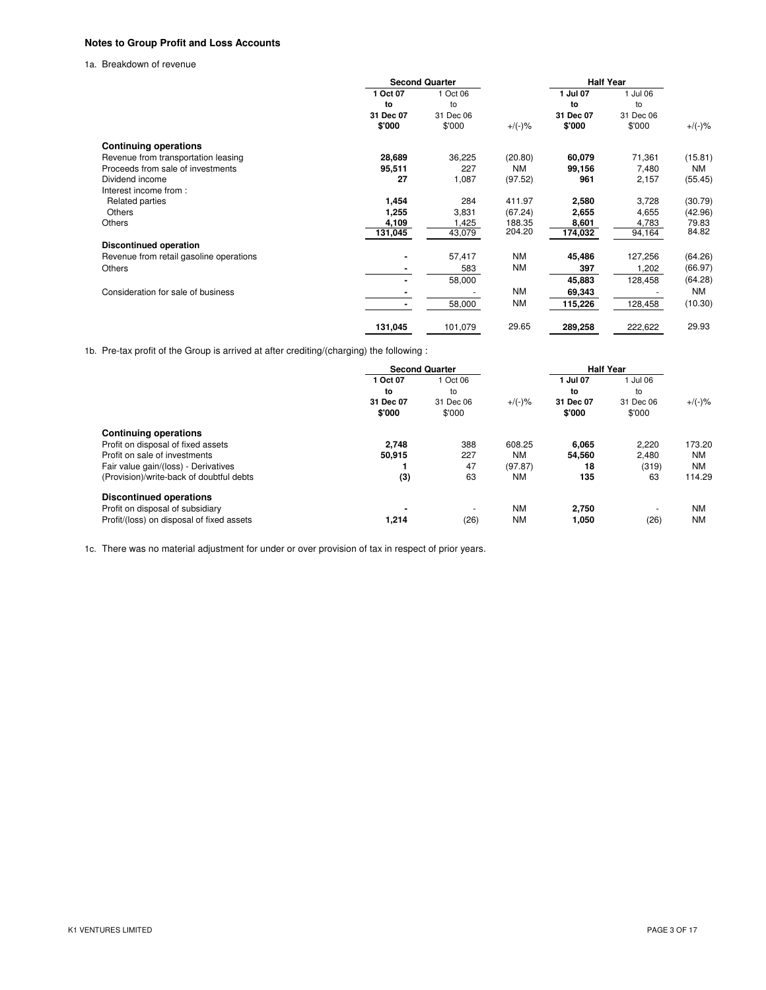# **Notes to Group Profit and Loss Accounts**

1a. Breakdown of revenue

|                                         | <b>Second Quarter</b> |           |           | <b>Half Year</b> |           |           |
|-----------------------------------------|-----------------------|-----------|-----------|------------------|-----------|-----------|
|                                         | 1 Oct 07              | 1 Oct 06  |           | 1 Jul 07         | 1 Jul 06  |           |
|                                         | to                    | to        |           | to               | to        |           |
|                                         | 31 Dec 07             | 31 Dec 06 |           | 31 Dec 07        | 31 Dec 06 |           |
|                                         | \$'000                | \$'000    | $+/(-)$ % | \$'000           | \$'000    | $+/(-)$ % |
| <b>Continuing operations</b>            |                       |           |           |                  |           |           |
| Revenue from transportation leasing     | 28,689                | 36,225    | (20.80)   | 60,079           | 71,361    | (15.81)   |
| Proceeds from sale of investments       | 95,511                | 227       | <b>NM</b> | 99,156           | 7,480     | <b>NM</b> |
| Dividend income                         | 27                    | 1,087     | (97.52)   | 961              | 2,157     | (55.45)   |
| Interest income from:                   |                       |           |           |                  |           |           |
| Related parties                         | 1,454                 | 284       | 411.97    | 2,580            | 3,728     | (30.79)   |
| Others                                  | 1,255                 | 3,831     | (67.24)   | 2,655            | 4,655     | (42.96)   |
| <b>Others</b>                           | 4,109                 | 1,425     | 188.35    | 8,601            | 4,783     | 79.83     |
|                                         | 131,045               | 43,079    | 204.20    | 174,032          | 94,164    | 84.82     |
| <b>Discontinued operation</b>           |                       |           |           |                  |           |           |
| Revenue from retail gasoline operations |                       | 57,417    | ΝM        | 45,486           | 127,256   | (64.26)   |
| Others                                  |                       | 583       | <b>NM</b> | 397              | 1,202     | (66.97)   |
|                                         |                       | 58,000    |           | 45,883           | 128,458   | (64.28)   |
| Consideration for sale of business      |                       |           | ΝM        | 69,343           |           | <b>NM</b> |
|                                         |                       | 58,000    | <b>NM</b> | 115,226          | 128,458   | (10.30)   |
|                                         | 131,045               | 101,079   | 29.65     | 289,258          | 222,622   | 29.93     |

1b. Pre-tax profit of the Group is arrived at after crediting/(charging) the following :

|                                           | <b>Second Quarter</b> |                          |           | <b>Half Year</b>    |                     |           |
|-------------------------------------------|-----------------------|--------------------------|-----------|---------------------|---------------------|-----------|
|                                           | 1 Oct 07              | 1 Oct 06                 |           | 1 Jul 07            | 1 Jul 06            |           |
|                                           | to                    | to                       |           | to                  | to                  |           |
|                                           | 31 Dec 07<br>\$'000   | 31 Dec 06<br>\$'000      | $+/(-)$ % | 31 Dec 07<br>\$'000 | 31 Dec 06<br>\$'000 | $+$ /(-)% |
| <b>Continuing operations</b>              |                       |                          |           |                     |                     |           |
| Profit on disposal of fixed assets        | 2.748                 | 388                      | 608.25    | 6.065               | 2.220               | 173.20    |
| Profit on sale of investments             | 50,915                | 227                      | <b>NM</b> | 54,560              | 2,480               | <b>NM</b> |
| Fair value gain/(loss) - Derivatives      |                       | 47                       | (97.87)   | 18                  | (319)               | NM        |
| (Provision)/write-back of doubtful debts  | (3)                   | 63                       | <b>NM</b> | 135                 | 63                  | 114.29    |
| <b>Discontinued operations</b>            |                       |                          |           |                     |                     |           |
| Profit on disposal of subsidiary          | -                     | $\overline{\phantom{a}}$ | <b>NM</b> | 2,750               | -                   | <b>NM</b> |
| Profit/(loss) on disposal of fixed assets | 1,214                 | (26)                     | <b>NM</b> | 1,050               | (26)                | <b>NM</b> |

1c. There was no material adjustment for under or over provision of tax in respect of prior years.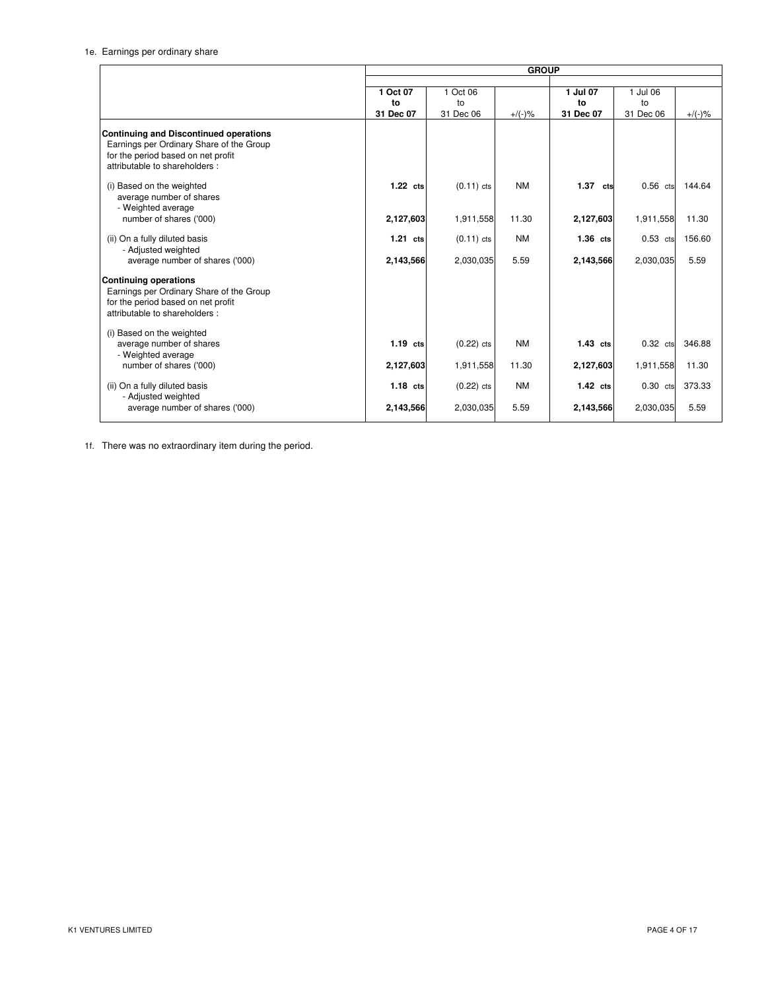|                                                                                                                                                                  | <b>GROUP</b> |              |           |            |            |           |
|------------------------------------------------------------------------------------------------------------------------------------------------------------------|--------------|--------------|-----------|------------|------------|-----------|
|                                                                                                                                                                  |              |              |           |            |            |           |
|                                                                                                                                                                  | 1 Oct 07     | 1 Oct 06     |           | 1 Jul 07   | 1 Jul 06   |           |
|                                                                                                                                                                  | to           | to           |           | to         | to         |           |
|                                                                                                                                                                  | 31 Dec 07    | 31 Dec 06    | $+/(-)$ % | 31 Dec 07  | 31 Dec 06  | $+$ /(-)% |
| <b>Continuing and Discontinued operations</b><br>Earnings per Ordinary Share of the Group<br>for the period based on net profit<br>attributable to shareholders: |              |              |           |            |            |           |
| (i) Based on the weighted<br>average number of shares<br>- Weighted average                                                                                      | $1.22$ cts   | $(0.11)$ cts | <b>NM</b> | 1.37 cts   | $0.56$ cts | 144.64    |
| number of shares ('000)                                                                                                                                          | 2,127,603    | 1,911,558    | 11.30     | 2,127,603  | 1,911,558  | 11.30     |
| (ii) On a fully diluted basis<br>- Adjusted weighted                                                                                                             | $1.21$ cts   | $(0.11)$ cts | <b>NM</b> | $1.36$ cts | $0.53$ cts | 156.60    |
| average number of shares ('000)                                                                                                                                  | 2,143,566    | 2,030,035    | 5.59      | 2,143,566  | 2,030,035  | 5.59      |
| <b>Continuing operations</b><br>Earnings per Ordinary Share of the Group<br>for the period based on net profit<br>attributable to shareholders:                  |              |              |           |            |            |           |
| (i) Based on the weighted<br>average number of shares<br>- Weighted average                                                                                      | $1.19$ cts   | $(0.22)$ cts | <b>NM</b> | $1.43$ cts | $0.32$ cts | 346.88    |
| number of shares ('000)                                                                                                                                          | 2,127,603    | 1,911,558    | 11.30     | 2,127,603  | 1,911,558  | 11.30     |
| (ii) On a fully diluted basis<br>- Adjusted weighted                                                                                                             | $1.18$ cts   | $(0.22)$ cts | <b>NM</b> | $1.42$ cts | $0.30$ cts | 373.33    |
| average number of shares ('000)                                                                                                                                  | 2,143,566    | 2,030,035    | 5.59      | 2,143,566  | 2,030,035  | 5.59      |

1f. There was no extraordinary item during the period.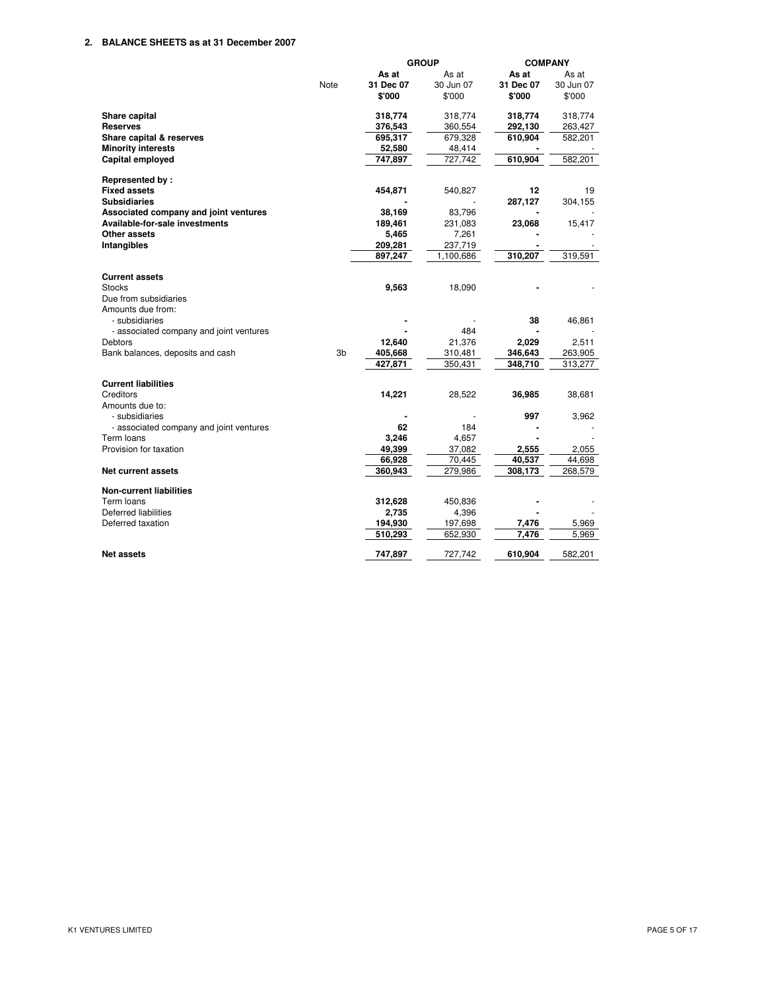## **2. BALANCE SHEETS as at 31 December 2007**

|                                         |      |           | <b>GROUP</b> | <b>COMPANY</b> |           |
|-----------------------------------------|------|-----------|--------------|----------------|-----------|
|                                         |      | As at     | As at        | As at          | As at     |
|                                         | Note | 31 Dec 07 | 30 Jun 07    | 31 Dec 07      | 30 Jun 07 |
|                                         |      | \$'000    | \$'000       | \$'000         | \$'000    |
| <b>Share capital</b>                    |      | 318,774   | 318,774      | 318,774        | 318,774   |
| <b>Reserves</b>                         |      | 376,543   | 360,554      | 292,130        | 263,427   |
| Share capital & reserves                |      | 695,317   | 679,328      | 610,904        | 582,201   |
| <b>Minority interests</b>               |      | 52,580    | 48,414       |                |           |
| <b>Capital employed</b>                 |      | 747,897   | 727,742      | 610,904        | 582,201   |
| Represented by:                         |      |           |              |                |           |
| <b>Fixed assets</b>                     |      | 454,871   | 540,827      | 12             | 19        |
| <b>Subsidiaries</b>                     |      |           |              | 287,127        | 304,155   |
| Associated company and joint ventures   |      | 38,169    | 83,796       |                |           |
| Available-for-sale investments          |      | 189,461   | 231,083      | 23,068         | 15,417    |
| Other assets                            |      | 5,465     | 7,261        |                |           |
| Intangibles                             |      | 209,281   | 237,719      |                |           |
|                                         |      | 897,247   | 1,100,686    | 310,207        | 319,591   |
| <b>Current assets</b>                   |      |           |              |                |           |
| <b>Stocks</b>                           |      | 9,563     | 18,090       |                |           |
| Due from subsidiaries                   |      |           |              |                |           |
| Amounts due from:                       |      |           |              |                |           |
| - subsidiaries                          |      |           |              | 38             | 46,861    |
| - associated company and joint ventures |      |           | 484          |                |           |
| Debtors                                 |      | 12,640    | 21,376       | 2,029          | 2,511     |
| Bank balances, deposits and cash        | 3b   | 405,668   | 310,481      | 346,643        | 263,905   |
|                                         |      | 427,871   | 350,431      | 348,710        | 313,277   |
| <b>Current liabilities</b>              |      |           |              |                |           |
| Creditors                               |      | 14,221    | 28,522       | 36,985         | 38,681    |
| Amounts due to:                         |      |           |              |                |           |
| - subsidiaries                          |      |           |              | 997            | 3,962     |
| - associated company and joint ventures |      | 62        | 184          |                |           |
| Term loans                              |      | 3,246     | 4,657        |                |           |
| Provision for taxation                  |      | 49,399    | 37,082       | 2,555          | 2,055     |
|                                         |      | 66,928    | 70,445       | 40,537         | 44,698    |
| Net current assets                      |      | 360,943   | 279,986      | 308,173        | 268,579   |
| <b>Non-current liabilities</b>          |      |           |              |                |           |
| Term loans                              |      | 312,628   | 450,836      |                |           |
| Deferred liabilities                    |      | 2,735     | 4,396        |                |           |
| Deferred taxation                       |      | 194,930   | 197,698      | 7,476<br>7.476 | 5,969     |
|                                         |      | 510,293   | 652,930      |                | 5.969     |
| <b>Net assets</b>                       |      | 747,897   | 727.742      | 610,904        | 582,201   |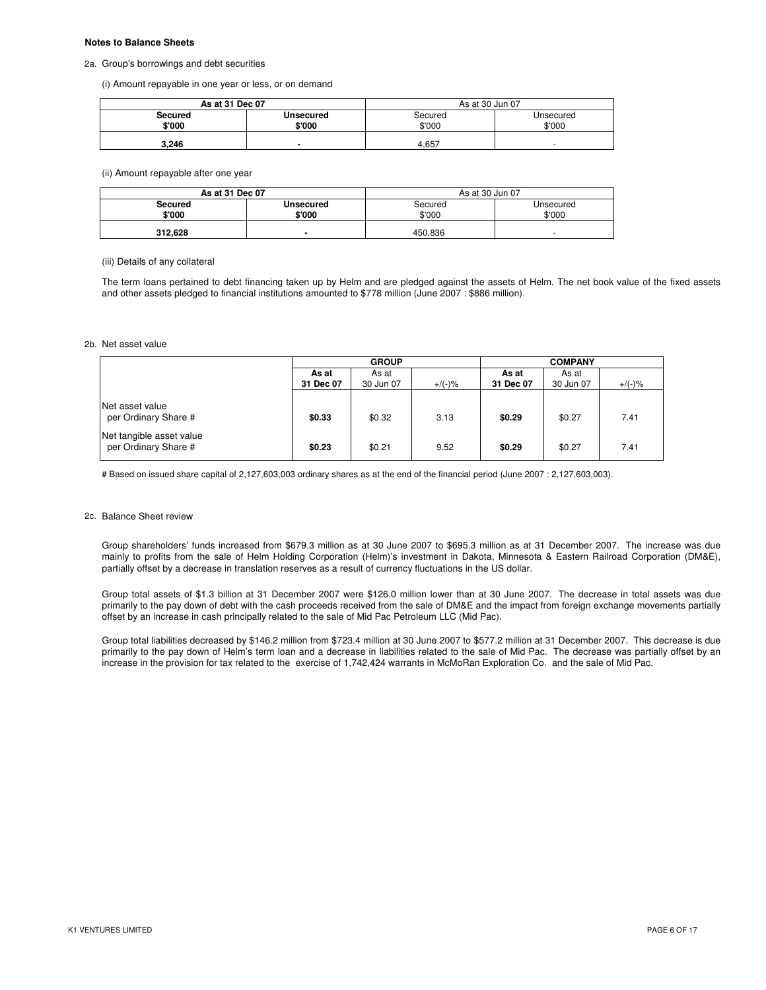#### **Notes to Balance Sheets**

#### 2a. Group's borrowings and debt securities

(i) Amount repayable in one year or less, or on demand

| As at 31 Dec 07 |                             | As at 30 Jun 07 |           |  |  |
|-----------------|-----------------------------|-----------------|-----------|--|--|
| Secured         | <b>Unsecured</b><br>Secured |                 | Unsecured |  |  |
| \$'000          | \$'000                      | \$'000          | \$'000    |  |  |
| 3.246           |                             | 4.657           | -         |  |  |

#### (ii) Amount repayable after one year

| As at 31 Dec 07 |                  | As at 30 Jun 07 |           |  |  |
|-----------------|------------------|-----------------|-----------|--|--|
| Secured         | <b>Unsecured</b> | Secured         | Unsecured |  |  |
| \$'000          | \$'000           | \$'000          | \$'000    |  |  |
| 312.628         |                  | 450.836         |           |  |  |

## (iii) Details of any collateral

The term loans pertained to debt financing taken up by Helm and are pledged against the assets of Helm. The net book value of the fixed assets and other assets pledged to financial institutions amounted to \$778 million (June 2007 : \$886 million).

#### 2b. Net asset value

|                                                  | <b>GROUP</b>       |                    |           | <b>COMPANY</b>     |                    |           |
|--------------------------------------------------|--------------------|--------------------|-----------|--------------------|--------------------|-----------|
|                                                  | As at<br>31 Dec 07 | As at<br>30 Jun 07 | $+/(-)$ % | As at<br>31 Dec 07 | As at<br>30 Jun 07 | $+$ /(-)% |
| Net asset value<br>per Ordinary Share #          | \$0.33             | \$0.32             | 3.13      | \$0.29             | \$0.27             | 7.41      |
| Net tangible asset value<br>per Ordinary Share # | \$0.23             | \$0.21             | 9.52      | \$0.29             | \$0.27             | 7.41      |

# Based on issued share capital of 2,127,603,003 ordinary shares as at the end of the financial period (June 2007 : 2,127,603,003).

#### 2c. Balance Sheet review

Group shareholders' funds increased from \$679.3 million as at 30 June 2007 to \$695.3 million as at 31 December 2007. The increase was due mainly to profits from the sale of Helm Holding Corporation (Helm)'s investment in Dakota, Minnesota & Eastern Railroad Corporation (DM&E), partially offset by a decrease in translation reserves as a result of currency fluctuations in the US dollar.

Group total assets of \$1.3 billion at 31 December 2007 were \$126.0 million lower than at 30 June 2007. The decrease in total assets was due primarily to the pay down of debt with the cash proceeds received from the sale of DM&E and the impact from foreign exchange movements partially offset by an increase in cash principally related to the sale of Mid Pac Petroleum LLC (Mid Pac).

Group total liabilities decreased by \$146.2 million from \$723.4 million at 30 June 2007 to \$577.2 million at 31 December 2007. This decrease is due primarily to the pay down of Helm's term loan and a decrease in liabilities related to the sale of Mid Pac. The decrease was partially offset by an increase in the provision for tax related to the exercise of 1,742,424 warrants in McMoRan Exploration Co. and the sale of Mid Pac.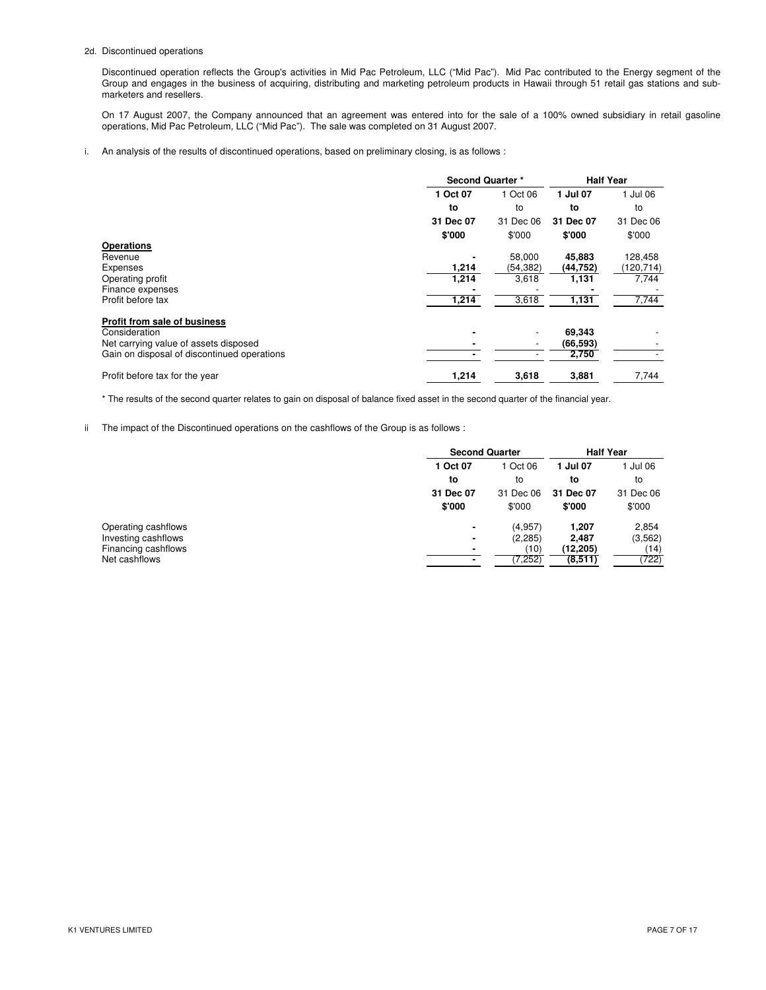#### 2d. Discontinued operations

Discontinued operation reflects the Group's activities in Mid Pac Petroleum, LLC ("Mid Pac"). Mid Pac contributed to the Energy segment of the Group and engages in the business of acquiring, distributing and marketing petroleum products in Hawaii through 51 retail gas stations and submarketers and resellers.

On 17 August 2007, the Company announced that an agreement was entered into for the sale of a 100% owned subsidiary in retail gasoline operations, Mid Pac Petroleum, LLC ("Mid Pac"). The sale was completed on 31 August 2007.

#### i. An analysis of the results of discontinued operations, based on preliminary closing, is as follows :

|                                             | <b>Second Quarter *</b> |           | <b>Half Year</b> |            |
|---------------------------------------------|-------------------------|-----------|------------------|------------|
|                                             | 1 Oct 07                | 1 Oct 06  | 1 Jul 07         | Jul 06     |
|                                             | to                      | to        | to               | to         |
|                                             | 31 Dec 07               | 31 Dec 06 | 31 Dec 07        | 31 Dec 06  |
|                                             | \$'000                  | \$'000    | \$'000           | \$'000     |
| <b>Operations</b>                           |                         |           |                  |            |
| Revenue                                     |                         | 58,000    | 45,883           | 128,458    |
| Expenses                                    | 1,214                   | (54, 382) | (44, 752)        | (120, 714) |
| Operating profit                            | 1,214                   | 3,618     | 1,131            | 7,744      |
| Finance expenses                            |                         |           |                  |            |
| Profit before tax                           | 1,214                   | 3,618     | 1,131            | 7,744      |
| Profit from sale of business                |                         |           |                  |            |
| Consideration                               |                         |           | 69,343           |            |
| Net carrying value of assets disposed       |                         |           | (66, 593)        |            |
| Gain on disposal of discontinued operations |                         |           | 2,750            |            |
| Profit before tax for the year              | 1,214                   | 3,618     | 3,881            | 7,744      |

\* The results of the second quarter relates to gain on disposal of balance fixed asset in the second quarter of the financial year.

ii The impact of the Discontinued operations on the cashflows of the Group is as follows :

|                     | <b>Second Quarter</b> |           | <b>Half Year</b> |           |  |          |  |        |  |
|---------------------|-----------------------|-----------|------------------|-----------|--|----------|--|--------|--|
|                     | 1 Oct 07              | Oct 06    |                  |           |  | 1 Jul 07 |  | Jul 06 |  |
|                     | to                    | to        | to               | to        |  |          |  |        |  |
|                     | 31 Dec 07             | 31 Dec 06 | 31 Dec 07        | 31 Dec 06 |  |          |  |        |  |
|                     | \$'000                | \$'000    | \$'000           | \$'000    |  |          |  |        |  |
| Operating cashflows | ۰                     | (4.957)   | 1.207            | 2,854     |  |          |  |        |  |
| Investing cashflows | ٠                     | (2, 285)  | 2,487            | (3, 562)  |  |          |  |        |  |
| Financing cashflows | ۰                     | (10)      | (12,205)         | (14)      |  |          |  |        |  |
| Net cashflows       |                       | (7, 252)  | (8,511)          | (722)     |  |          |  |        |  |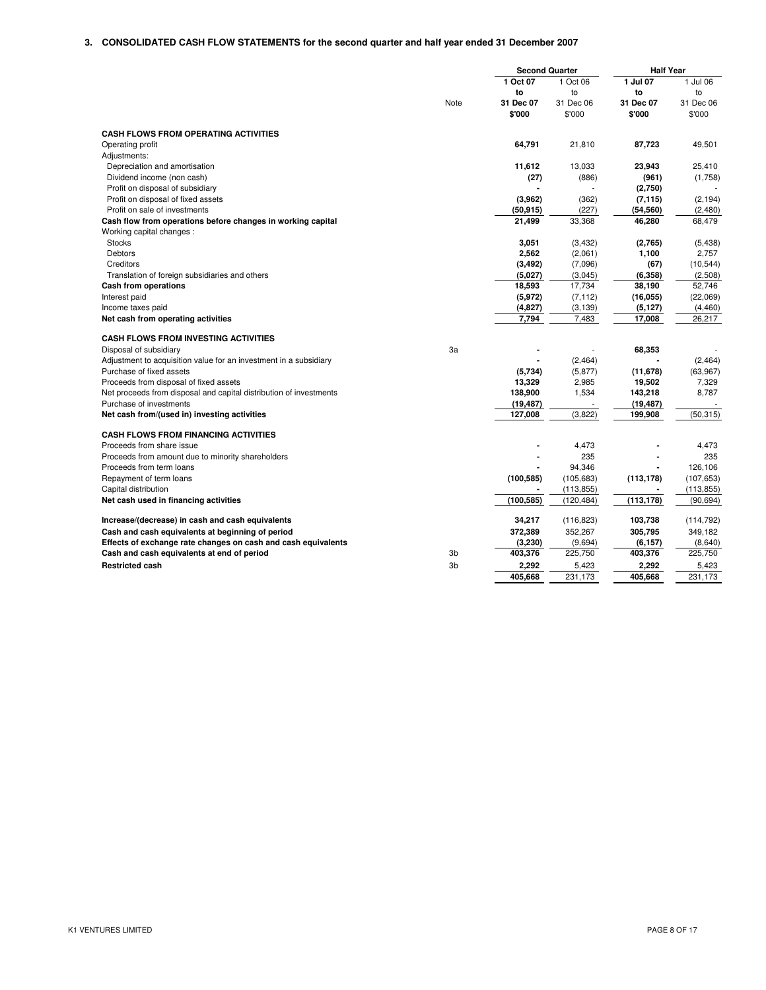|                                                                    |                | <b>Second Quarter</b> |            | <b>Half Year</b> |            |
|--------------------------------------------------------------------|----------------|-----------------------|------------|------------------|------------|
|                                                                    |                | 1 Oct 07              | 1 Oct 06   | 1 Jul 07         | 1 Jul 06   |
|                                                                    |                | to                    | to         | to               | to         |
|                                                                    | Note           | 31 Dec 07             | 31 Dec 06  | 31 Dec 07        | 31 Dec 06  |
|                                                                    |                | \$'000                | \$'000     | \$'000           | \$'000     |
| <b>CASH FLOWS FROM OPERATING ACTIVITIES</b>                        |                |                       |            |                  |            |
| Operating profit                                                   |                | 64,791                | 21,810     | 87,723           | 49,501     |
| Adjustments:                                                       |                |                       |            |                  |            |
| Depreciation and amortisation                                      |                | 11,612                | 13,033     | 23,943           | 25,410     |
| Dividend income (non cash)                                         |                | (27)                  | (886)      | (961)            | (1,758)    |
| Profit on disposal of subsidiary                                   |                |                       |            | (2,750)          |            |
| Profit on disposal of fixed assets                                 |                | (3,962)               | (362)      | (7, 115)         | (2, 194)   |
| Profit on sale of investments                                      |                | (50, 915)             | (227)      | (54,560)         | (2,480)    |
| Cash flow from operations before changes in working capital        |                | 21,499                | 33,368     | 46,280           | 68,479     |
| Working capital changes:                                           |                |                       |            |                  |            |
| <b>Stocks</b>                                                      |                | 3,051                 | (3, 432)   | (2,765)          | (5, 438)   |
| Debtors                                                            |                | 2,562                 | (2,061)    | 1,100            | 2,757      |
| Creditors                                                          |                | (3, 492)              | (7,096)    | (67)             | (10, 544)  |
| Translation of foreign subsidiaries and others                     |                | (5,027)               | (3,045)    | (6, 358)         | (2,508)    |
| Cash from operations                                               |                | 18,593                | 17,734     | 38,190           | 52,746     |
| Interest paid                                                      |                | (5, 972)              | (7, 112)   | (16, 055)        | (22,069)   |
| Income taxes paid                                                  |                | (4, 827)              | (3, 139)   | (5, 127)         | (4, 460)   |
| Net cash from operating activities                                 |                | 7,794                 | 7,483      | 17,008           | 26,217     |
| <b>CASH FLOWS FROM INVESTING ACTIVITIES</b>                        |                |                       |            |                  |            |
| Disposal of subsidiary                                             | 3a             |                       |            | 68,353           |            |
| Adjustment to acquisition value for an investment in a subsidiary  |                |                       | (2, 464)   |                  | (2, 464)   |
| Purchase of fixed assets                                           |                | (5,734)               | (5, 877)   | (11, 678)        | (63,967)   |
| Proceeds from disposal of fixed assets                             |                | 13,329                | 2,985      | 19,502           | 7,329      |
| Net proceeds from disposal and capital distribution of investments |                | 138,900               | 1,534      | 143,218          | 8,787      |
| Purchase of investments                                            |                | (19, 487)             |            | (19, 487)        |            |
| Net cash from/(used in) investing activities                       |                | 127,008               | (3,822)    | 199,908          | (50, 315)  |
| <b>CASH FLOWS FROM FINANCING ACTIVITIES</b>                        |                |                       |            |                  |            |
| Proceeds from share issue                                          |                |                       | 4,473      |                  | 4,473      |
| Proceeds from amount due to minority shareholders                  |                |                       | 235        |                  | 235        |
| Proceeds from term loans                                           |                |                       | 94,346     |                  | 126.106    |
| Repayment of term loans                                            |                | (100, 585)            | (105, 683) | (113, 178)       | (107, 653) |
| Capital distribution                                               |                |                       | (113, 855) |                  | (113, 855) |
| Net cash used in financing activities                              |                | (100, 585)            | (120, 484) | (113, 178)       | (90, 694)  |
| Increase/(decrease) in cash and cash equivalents                   |                | 34,217                | (116, 823) | 103,738          | (114, 792) |
| Cash and cash equivalents at beginning of period                   |                | 372,389               | 352,267    | 305,795          | 349,182    |
| Effects of exchange rate changes on cash and cash equivalents      |                | (3,230)               | (9,694)    | (6,157)          | (8,640)    |
| Cash and cash equivalents at end of period                         | 3 <sub>b</sub> | 403,376               | 225,750    | 403,376          | 225,750    |
| <b>Restricted cash</b>                                             | 3 <sub>b</sub> | 2,292                 | 5,423      | 2,292            | 5,423      |
|                                                                    |                | 405,668               | 231,173    | 405,668          | 231,173    |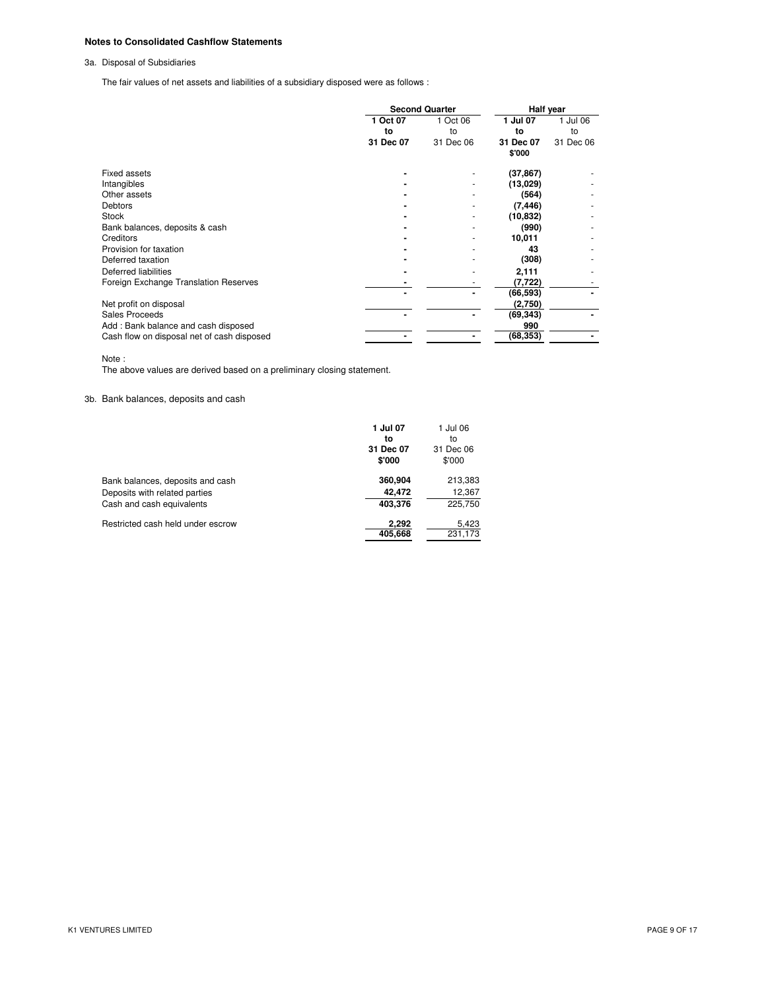# **Notes to Consolidated Cashflow Statements**

3a. Disposal of Subsidiaries

The fair values of net assets and liabilities of a subsidiary disposed were as follows :

|                                            | <b>Second Quarter</b> |           | Half year |           |
|--------------------------------------------|-----------------------|-----------|-----------|-----------|
|                                            | 1 Oct 07              | 1 Oct 06  | 1 Jul 07  | 1 Jul 06  |
|                                            | to                    | to        | to        | to        |
|                                            | 31 Dec 07             | 31 Dec 06 | 31 Dec 07 | 31 Dec 06 |
|                                            |                       |           | \$'000    |           |
| Fixed assets                               |                       |           | (37, 867) |           |
| Intangibles                                |                       |           | (13,029)  |           |
| Other assets                               |                       |           | (564)     |           |
| <b>Debtors</b>                             |                       |           | (7, 446)  |           |
| Stock                                      |                       |           | (10, 832) |           |
| Bank balances, deposits & cash             |                       |           | (990)     |           |
| Creditors                                  |                       |           | 10,011    |           |
| Provision for taxation                     |                       |           | 43        |           |
| Deferred taxation                          |                       |           | (308)     |           |
| Deferred liabilities                       |                       |           | 2,111     |           |
| Foreign Exchange Translation Reserves      |                       |           | (7, 722)  |           |
|                                            |                       |           | (66, 593) |           |
| Net profit on disposal                     |                       |           | (2,750)   |           |
| Sales Proceeds                             |                       |           | (69, 343) |           |
| Add: Bank balance and cash disposed        |                       |           | 990       |           |
| Cash flow on disposal net of cash disposed |                       |           | (68,353)  |           |

Note :

The above values are derived based on a preliminary closing statement.

# 3b. Bank balances, deposits and cash

|                                   | 1 Jul 07  | 1 Jul 06  |
|-----------------------------------|-----------|-----------|
|                                   | to        | to        |
|                                   | 31 Dec 07 | 31 Dec 06 |
|                                   | \$'000    | \$'000    |
| Bank balances, deposits and cash  | 360,904   | 213,383   |
| Deposits with related parties     | 42.472    | 12,367    |
| Cash and cash equivalents         | 403,376   | 225,750   |
| Restricted cash held under escrow | 2,292     | 5,423     |
|                                   | 405,668   | 231,173   |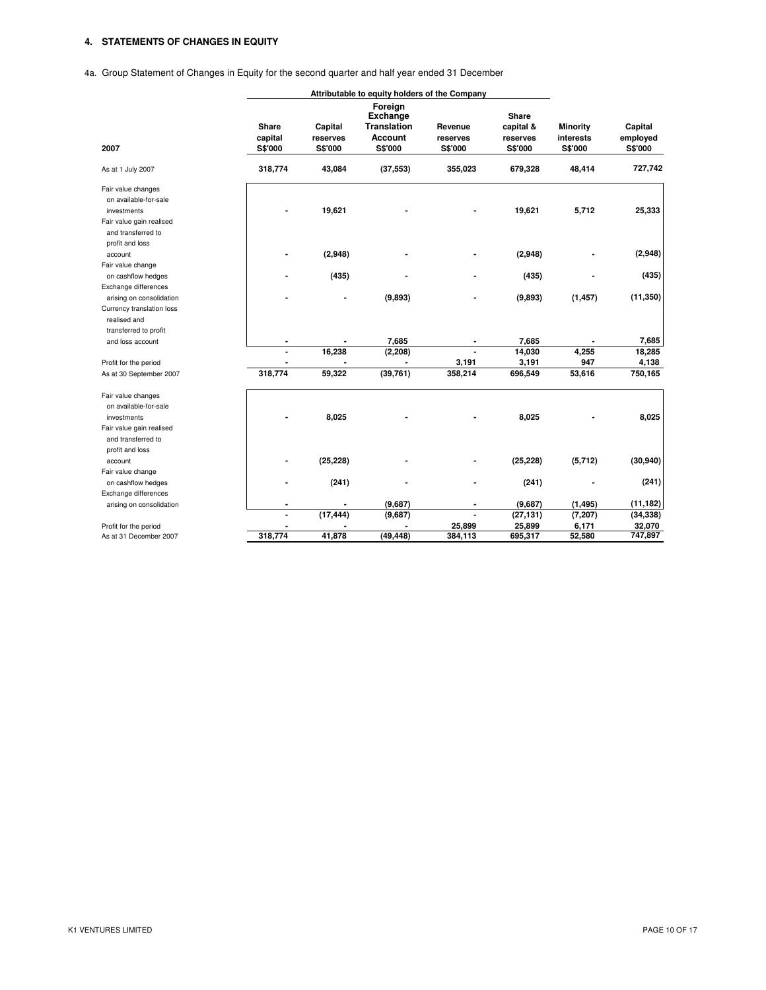# **4. STATEMENTS OF CHANGES IN EQUITY**

4a. Group Statement of Changes in Equity for the second quarter and half year ended 31 December

|                           |                                    | Attributable to equity holders of the Company |                                                                 |                                |                                                  |                                         |                                |
|---------------------------|------------------------------------|-----------------------------------------------|-----------------------------------------------------------------|--------------------------------|--------------------------------------------------|-----------------------------------------|--------------------------------|
| 2007                      | <b>Share</b><br>capital<br>S\$'000 | Capital<br>reserves<br>S\$'000                | Foreign<br>Exchange<br><b>Translation</b><br>Account<br>S\$'000 | Revenue<br>reserves<br>S\$'000 | <b>Share</b><br>capital &<br>reserves<br>S\$'000 | <b>Minority</b><br>interests<br>S\$'000 | Capital<br>employed<br>S\$'000 |
| As at 1 July 2007         | 318,774                            | 43,084                                        | (37, 553)                                                       | 355,023                        | 679,328                                          | 48,414                                  | 727,742                        |
| Fair value changes        |                                    |                                               |                                                                 |                                |                                                  |                                         |                                |
| on available-for-sale     |                                    |                                               |                                                                 |                                |                                                  |                                         |                                |
| investments               |                                    | 19,621                                        |                                                                 |                                | 19,621                                           | 5,712                                   | 25,333                         |
| Fair value gain realised  |                                    |                                               |                                                                 |                                |                                                  |                                         |                                |
| and transferred to        |                                    |                                               |                                                                 |                                |                                                  |                                         |                                |
| profit and loss           |                                    |                                               |                                                                 |                                |                                                  |                                         |                                |
| account                   |                                    | (2,948)                                       |                                                                 |                                | (2,948)                                          |                                         | (2,948)                        |
| Fair value change         |                                    |                                               |                                                                 |                                |                                                  |                                         |                                |
| on cashflow hedges        |                                    | (435)                                         |                                                                 |                                | (435)                                            |                                         | (435)                          |
| Exchange differences      |                                    |                                               |                                                                 |                                |                                                  |                                         |                                |
| arising on consolidation  |                                    |                                               | (9,893)                                                         |                                | (9,893)                                          | (1, 457)                                | (11, 350)                      |
| Currency translation loss |                                    |                                               |                                                                 |                                |                                                  |                                         |                                |
| realised and              |                                    |                                               |                                                                 |                                |                                                  |                                         |                                |
|                           |                                    |                                               |                                                                 |                                |                                                  |                                         |                                |
| transferred to profit     |                                    |                                               |                                                                 |                                |                                                  |                                         | 7,685                          |
| and loss account          |                                    |                                               | 7,685                                                           |                                | 7,685                                            |                                         |                                |
|                           | ÷                                  | 16,238                                        | (2, 208)                                                        |                                | 14,030                                           | 4,255                                   | 18,285                         |
| Profit for the period     |                                    |                                               |                                                                 | 3,191                          | 3,191                                            | 947                                     | 4,138                          |
| As at 30 September 2007   | 318,774                            | 59,322                                        | (39, 761)                                                       | 358,214                        | 696,549                                          | 53,616                                  | 750,165                        |
| Fair value changes        |                                    |                                               |                                                                 |                                |                                                  |                                         |                                |
| on available-for-sale     |                                    |                                               |                                                                 |                                |                                                  |                                         |                                |
| investments               |                                    | 8,025                                         |                                                                 |                                | 8,025                                            |                                         | 8,025                          |
| Fair value gain realised  |                                    |                                               |                                                                 |                                |                                                  |                                         |                                |
| and transferred to        |                                    |                                               |                                                                 |                                |                                                  |                                         |                                |
| profit and loss           |                                    |                                               |                                                                 |                                |                                                  |                                         |                                |
| account                   |                                    | (25, 228)                                     |                                                                 |                                | (25, 228)                                        | (5,712)                                 | (30, 940)                      |
| Fair value change         |                                    |                                               |                                                                 |                                |                                                  |                                         |                                |
| on cashflow hedges        |                                    | (241)                                         |                                                                 |                                | (241)                                            |                                         | (241)                          |
| Exchange differences      |                                    |                                               |                                                                 |                                |                                                  |                                         |                                |
| arising on consolidation  | ۰                                  |                                               | (9,687)                                                         | $\blacksquare$                 | (9,687)                                          | (1, 495)                                | (11, 182)                      |
|                           | $\blacksquare$                     | (17, 444)                                     | (9,687)                                                         |                                | (27, 131)                                        | (7, 207)                                | (34, 338)                      |
| Profit for the period     |                                    |                                               |                                                                 | 25,899                         | 25,899                                           | 6,171                                   | 32,070                         |
| As at 31 December 2007    | 318,774                            | 41,878                                        | (49, 448)                                                       | 384,113                        | 695,317                                          | 52,580                                  | 747,897                        |
|                           |                                    |                                               |                                                                 |                                |                                                  |                                         |                                |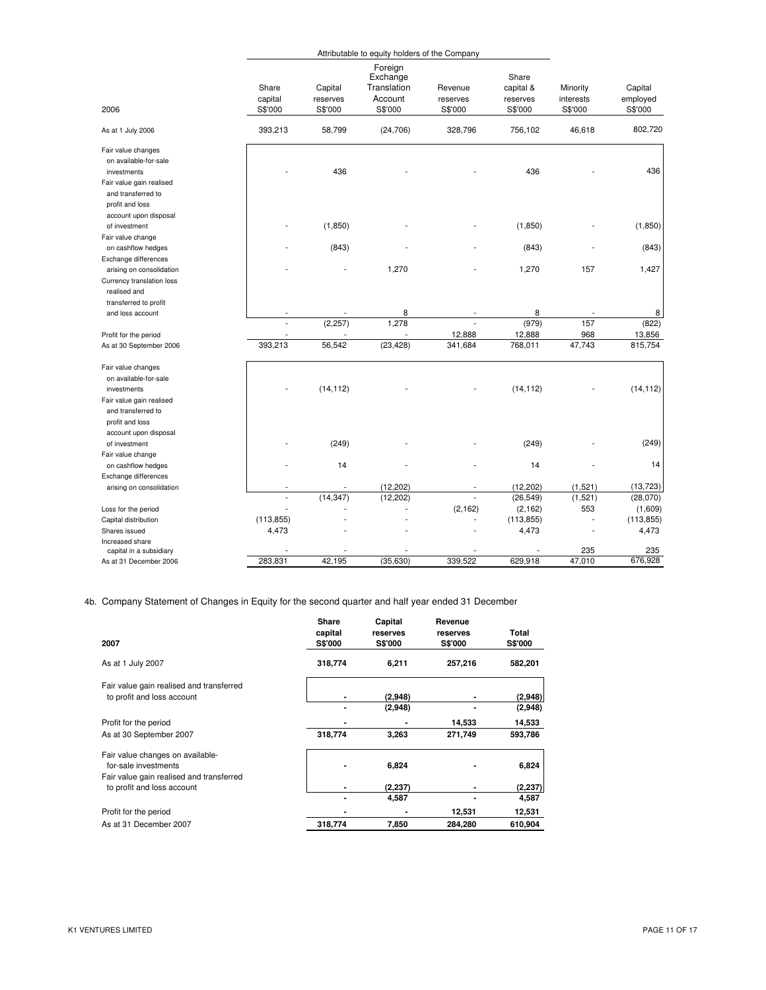| Foreign<br>Share<br>Exchange<br>Share<br>Translation<br>Capital<br>Capital<br>Revenue<br>capital &<br>Minority<br>capital<br>Account<br>employed<br>reserves<br>reserves<br>interests<br>reserves<br>2006<br>S\$'000<br>S\$'000<br>S\$'000<br>S\$'000<br>S\$'000<br>S\$'000<br>S\$'000<br>802,720<br>393,213<br>58,799<br>(24, 706)<br>328,796<br>756,102<br>46,618<br>As at 1 July 2006<br>Fair value changes<br>on available-for-sale<br>436<br>436<br>436<br>investments<br>Fair value gain realised<br>and transferred to<br>profit and loss<br>account upon disposal<br>(1, 850)<br>(1,850)<br>(1, 850)<br>of investment<br>Fair value change<br>(843)<br>(843)<br>(843)<br>on cashflow hedges<br>Exchange differences<br>1,427<br>1,270<br>1,270<br>157<br>arising on consolidation<br>Currency translation loss<br>realised and<br>transferred to profit<br>8<br>8<br>8<br>and loss account<br>(822)<br>(2, 257)<br>1,278<br>(979)<br>157<br>12,888<br>12,888<br>968<br>13,856<br>Profit for the period<br>393,213<br>56,542<br>(23, 428)<br>768,011<br>47,743<br>815,754<br>341,684<br>As at 30 September 2006<br>Fair value changes<br>on available-for-sale<br>(14, 112)<br>(14, 112)<br>(14, 112)<br>investments<br>Fair value gain realised<br>and transferred to<br>profit and loss<br>account upon disposal<br>(249)<br>(249)<br>(249)<br>of investment<br>Fair value change<br>14<br>14<br>14<br>on cashflow hedges<br>Exchange differences<br>(13, 723)<br>(12, 202)<br>(12, 202)<br>(1,521)<br>arising on consolidation<br>(14, 347)<br>(12, 202)<br>(26, 549)<br>(1,521)<br>$\overline{a}$<br>$\overline{a}$<br>(28,070)<br>(2, 162)<br>(2, 162)<br>553<br>(1,609)<br>Loss for the period<br>(113, 855)<br>(113, 855)<br>(113, 855)<br>Capital distribution<br>4,473<br>4,473<br>4,473<br>Shares issued<br>Increased share<br>235<br>235<br>capital in a subsidiary<br>676,928<br>629,918<br>283,831<br>42,195<br>(35, 630)<br>339,522<br>47,010<br>As at 31 December 2006 |  | Attributable to equity holders of the Company |  |  |  |  |  |
|----------------------------------------------------------------------------------------------------------------------------------------------------------------------------------------------------------------------------------------------------------------------------------------------------------------------------------------------------------------------------------------------------------------------------------------------------------------------------------------------------------------------------------------------------------------------------------------------------------------------------------------------------------------------------------------------------------------------------------------------------------------------------------------------------------------------------------------------------------------------------------------------------------------------------------------------------------------------------------------------------------------------------------------------------------------------------------------------------------------------------------------------------------------------------------------------------------------------------------------------------------------------------------------------------------------------------------------------------------------------------------------------------------------------------------------------------------------------------------------------------------------------------------------------------------------------------------------------------------------------------------------------------------------------------------------------------------------------------------------------------------------------------------------------------------------------------------------------------------------------------------------------------------------------------------------------------------------------------------------------|--|-----------------------------------------------|--|--|--|--|--|
|                                                                                                                                                                                                                                                                                                                                                                                                                                                                                                                                                                                                                                                                                                                                                                                                                                                                                                                                                                                                                                                                                                                                                                                                                                                                                                                                                                                                                                                                                                                                                                                                                                                                                                                                                                                                                                                                                                                                                                                              |  |                                               |  |  |  |  |  |
|                                                                                                                                                                                                                                                                                                                                                                                                                                                                                                                                                                                                                                                                                                                                                                                                                                                                                                                                                                                                                                                                                                                                                                                                                                                                                                                                                                                                                                                                                                                                                                                                                                                                                                                                                                                                                                                                                                                                                                                              |  |                                               |  |  |  |  |  |
|                                                                                                                                                                                                                                                                                                                                                                                                                                                                                                                                                                                                                                                                                                                                                                                                                                                                                                                                                                                                                                                                                                                                                                                                                                                                                                                                                                                                                                                                                                                                                                                                                                                                                                                                                                                                                                                                                                                                                                                              |  |                                               |  |  |  |  |  |
|                                                                                                                                                                                                                                                                                                                                                                                                                                                                                                                                                                                                                                                                                                                                                                                                                                                                                                                                                                                                                                                                                                                                                                                                                                                                                                                                                                                                                                                                                                                                                                                                                                                                                                                                                                                                                                                                                                                                                                                              |  |                                               |  |  |  |  |  |
|                                                                                                                                                                                                                                                                                                                                                                                                                                                                                                                                                                                                                                                                                                                                                                                                                                                                                                                                                                                                                                                                                                                                                                                                                                                                                                                                                                                                                                                                                                                                                                                                                                                                                                                                                                                                                                                                                                                                                                                              |  |                                               |  |  |  |  |  |
|                                                                                                                                                                                                                                                                                                                                                                                                                                                                                                                                                                                                                                                                                                                                                                                                                                                                                                                                                                                                                                                                                                                                                                                                                                                                                                                                                                                                                                                                                                                                                                                                                                                                                                                                                                                                                                                                                                                                                                                              |  |                                               |  |  |  |  |  |
|                                                                                                                                                                                                                                                                                                                                                                                                                                                                                                                                                                                                                                                                                                                                                                                                                                                                                                                                                                                                                                                                                                                                                                                                                                                                                                                                                                                                                                                                                                                                                                                                                                                                                                                                                                                                                                                                                                                                                                                              |  |                                               |  |  |  |  |  |
|                                                                                                                                                                                                                                                                                                                                                                                                                                                                                                                                                                                                                                                                                                                                                                                                                                                                                                                                                                                                                                                                                                                                                                                                                                                                                                                                                                                                                                                                                                                                                                                                                                                                                                                                                                                                                                                                                                                                                                                              |  |                                               |  |  |  |  |  |
|                                                                                                                                                                                                                                                                                                                                                                                                                                                                                                                                                                                                                                                                                                                                                                                                                                                                                                                                                                                                                                                                                                                                                                                                                                                                                                                                                                                                                                                                                                                                                                                                                                                                                                                                                                                                                                                                                                                                                                                              |  |                                               |  |  |  |  |  |
|                                                                                                                                                                                                                                                                                                                                                                                                                                                                                                                                                                                                                                                                                                                                                                                                                                                                                                                                                                                                                                                                                                                                                                                                                                                                                                                                                                                                                                                                                                                                                                                                                                                                                                                                                                                                                                                                                                                                                                                              |  |                                               |  |  |  |  |  |
|                                                                                                                                                                                                                                                                                                                                                                                                                                                                                                                                                                                                                                                                                                                                                                                                                                                                                                                                                                                                                                                                                                                                                                                                                                                                                                                                                                                                                                                                                                                                                                                                                                                                                                                                                                                                                                                                                                                                                                                              |  |                                               |  |  |  |  |  |
|                                                                                                                                                                                                                                                                                                                                                                                                                                                                                                                                                                                                                                                                                                                                                                                                                                                                                                                                                                                                                                                                                                                                                                                                                                                                                                                                                                                                                                                                                                                                                                                                                                                                                                                                                                                                                                                                                                                                                                                              |  |                                               |  |  |  |  |  |
|                                                                                                                                                                                                                                                                                                                                                                                                                                                                                                                                                                                                                                                                                                                                                                                                                                                                                                                                                                                                                                                                                                                                                                                                                                                                                                                                                                                                                                                                                                                                                                                                                                                                                                                                                                                                                                                                                                                                                                                              |  |                                               |  |  |  |  |  |
|                                                                                                                                                                                                                                                                                                                                                                                                                                                                                                                                                                                                                                                                                                                                                                                                                                                                                                                                                                                                                                                                                                                                                                                                                                                                                                                                                                                                                                                                                                                                                                                                                                                                                                                                                                                                                                                                                                                                                                                              |  |                                               |  |  |  |  |  |
|                                                                                                                                                                                                                                                                                                                                                                                                                                                                                                                                                                                                                                                                                                                                                                                                                                                                                                                                                                                                                                                                                                                                                                                                                                                                                                                                                                                                                                                                                                                                                                                                                                                                                                                                                                                                                                                                                                                                                                                              |  |                                               |  |  |  |  |  |
|                                                                                                                                                                                                                                                                                                                                                                                                                                                                                                                                                                                                                                                                                                                                                                                                                                                                                                                                                                                                                                                                                                                                                                                                                                                                                                                                                                                                                                                                                                                                                                                                                                                                                                                                                                                                                                                                                                                                                                                              |  |                                               |  |  |  |  |  |
|                                                                                                                                                                                                                                                                                                                                                                                                                                                                                                                                                                                                                                                                                                                                                                                                                                                                                                                                                                                                                                                                                                                                                                                                                                                                                                                                                                                                                                                                                                                                                                                                                                                                                                                                                                                                                                                                                                                                                                                              |  |                                               |  |  |  |  |  |
|                                                                                                                                                                                                                                                                                                                                                                                                                                                                                                                                                                                                                                                                                                                                                                                                                                                                                                                                                                                                                                                                                                                                                                                                                                                                                                                                                                                                                                                                                                                                                                                                                                                                                                                                                                                                                                                                                                                                                                                              |  |                                               |  |  |  |  |  |
|                                                                                                                                                                                                                                                                                                                                                                                                                                                                                                                                                                                                                                                                                                                                                                                                                                                                                                                                                                                                                                                                                                                                                                                                                                                                                                                                                                                                                                                                                                                                                                                                                                                                                                                                                                                                                                                                                                                                                                                              |  |                                               |  |  |  |  |  |
|                                                                                                                                                                                                                                                                                                                                                                                                                                                                                                                                                                                                                                                                                                                                                                                                                                                                                                                                                                                                                                                                                                                                                                                                                                                                                                                                                                                                                                                                                                                                                                                                                                                                                                                                                                                                                                                                                                                                                                                              |  |                                               |  |  |  |  |  |

4b. Company Statement of Changes in Equity for the second quarter and half year ended 31 December

| 2007                                                                                                 | Share<br>capital<br><b>S\$'000</b> | Capital<br>reserves<br>S\$'000 | Revenue<br>reserves<br><b>S\$'000</b> | Total<br>S\$'000 |
|------------------------------------------------------------------------------------------------------|------------------------------------|--------------------------------|---------------------------------------|------------------|
| As at 1 July 2007                                                                                    | 318,774                            | 6,211                          | 257,216                               | 582,201          |
| Fair value gain realised and transferred<br>to profit and loss account                               |                                    | (2,948)                        |                                       | (2,948)          |
|                                                                                                      |                                    | (2,948)                        |                                       | (2,948)          |
| Profit for the period                                                                                |                                    |                                | 14,533                                | 14,533           |
| As at 30 September 2007                                                                              | 318,774                            | 3,263                          | 271,749                               | 593,786          |
| Fair value changes on available-<br>for-sale investments<br>Fair value gain realised and transferred |                                    | 6,824                          |                                       | 6,824            |
| to profit and loss account                                                                           |                                    | (2, 237)                       |                                       | (2, 237)         |
|                                                                                                      |                                    | 4,587                          |                                       | 4,587            |
| Profit for the period                                                                                |                                    |                                | 12,531                                | 12,531           |
| As at 31 December 2007                                                                               | 318,774                            | 7,850                          | 284.280                               | 610.904          |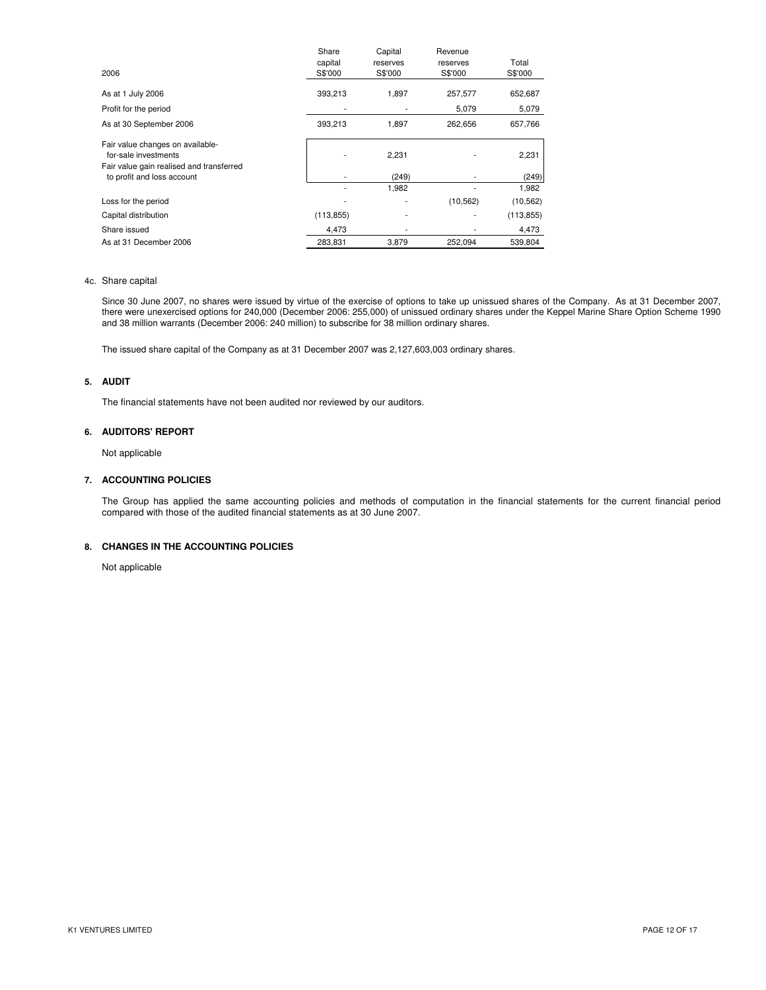| 2006                                                                                                 | Share<br>capital<br>S\$'000 | Capital<br>reserves<br>S\$'000 | Revenue<br>reserves<br>S\$'000 | Total<br>S\$'000 |
|------------------------------------------------------------------------------------------------------|-----------------------------|--------------------------------|--------------------------------|------------------|
| As at 1 July 2006                                                                                    | 393,213                     | 1,897                          | 257,577                        | 652,687          |
| Profit for the period                                                                                | ۰                           |                                | 5,079                          | 5,079            |
| As at 30 September 2006                                                                              | 393,213                     | 1,897                          | 262,656                        | 657,766          |
| Fair value changes on available-<br>for-sale investments<br>Fair value gain realised and transferred |                             | 2,231                          |                                | 2,231            |
| to profit and loss account                                                                           |                             | (249)                          |                                | (249)            |
|                                                                                                      | ۰                           | 1,982                          |                                | 1,982            |
| Loss for the period                                                                                  |                             |                                | (10, 562)                      | (10, 562)        |
| Capital distribution                                                                                 | (113, 855)                  |                                |                                | (113, 855)       |
| Share issued                                                                                         | 4,473                       |                                |                                | 4,473            |
| As at 31 December 2006                                                                               | 283,831                     | 3,879                          | 252.094                        | 539,804          |

## 4c. Share capital

Since 30 June 2007, no shares were issued by virtue of the exercise of options to take up unissued shares of the Company. As at 31 December 2007, there were unexercised options for 240,000 (December 2006: 255,000) of unissued ordinary shares under the Keppel Marine Share Option Scheme 1990 and 38 million warrants (December 2006: 240 million) to subscribe for 38 million ordinary shares.

The issued share capital of the Company as at 31 December 2007 was 2,127,603,003 ordinary shares.

## **5. AUDIT**

The financial statements have not been audited nor reviewed by our auditors.

#### **6. AUDITORS' REPORT**

Not applicable

## **7. ACCOUNTING POLICIES**

The Group has applied the same accounting policies and methods of computation in the financial statements for the current financial period compared with those of the audited financial statements as at 30 June 2007.

## **8. CHANGES IN THE ACCOUNTING POLICIES**

Not applicable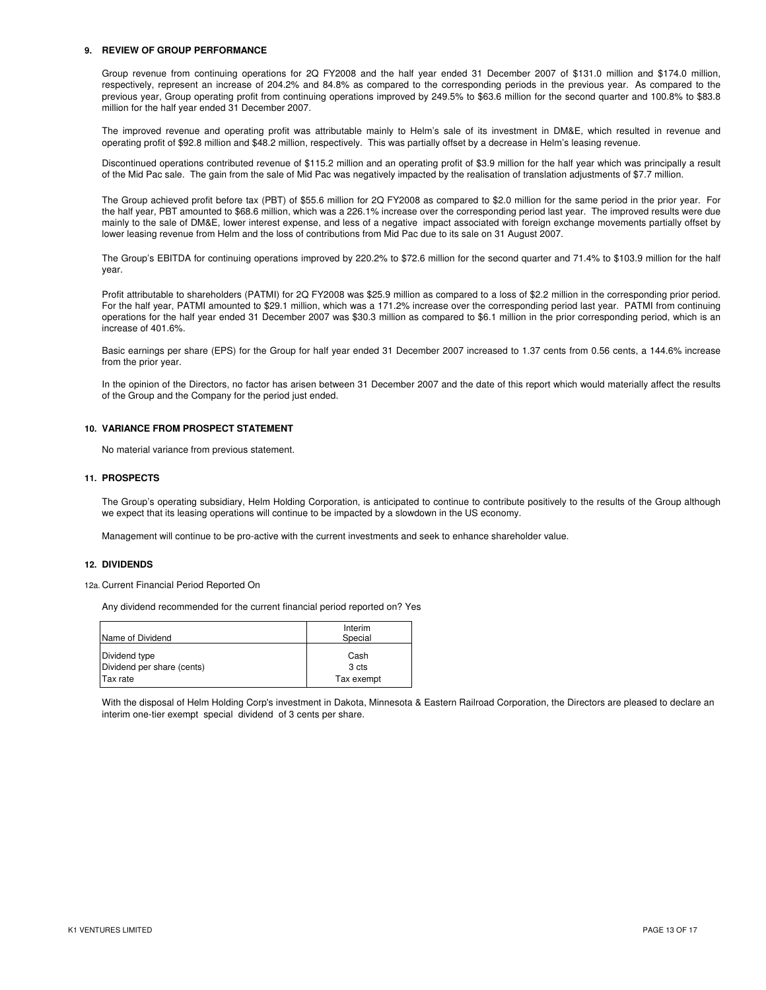#### **9. REVIEW OF GROUP PERFORMANCE**

Group revenue from continuing operations for 2Q FY2008 and the half year ended 31 December 2007 of \$131.0 million and \$174.0 million, respectively, represent an increase of 204.2% and 84.8% as compared to the corresponding periods in the previous year. As compared to the previous year, Group operating profit from continuing operations improved by 249.5% to \$63.6 million for the second quarter and 100.8% to \$83.8 million for the half year ended 31 December 2007.

The improved revenue and operating profit was attributable mainly to Helm's sale of its investment in DM&E, which resulted in revenue and operating profit of \$92.8 million and \$48.2 million, respectively. This was partially offset by a decrease in Helm's leasing revenue.

Discontinued operations contributed revenue of \$115.2 million and an operating profit of \$3.9 million for the half year which was principally a result of the Mid Pac sale. The gain from the sale of Mid Pac was negatively impacted by the realisation of translation adjustments of \$7.7 million.

The Group achieved profit before tax (PBT) of \$55.6 million for 2Q FY2008 as compared to \$2.0 million for the same period in the prior year. For the half year, PBT amounted to \$68.6 million, which was a 226.1% increase over the corresponding period last year. The improved results were due mainly to the sale of DM&E, lower interest expense, and less of a negative impact associated with foreign exchange movements partially offset by lower leasing revenue from Helm and the loss of contributions from Mid Pac due to its sale on 31 August 2007.

The Group's EBITDA for continuing operations improved by 220.2% to \$72.6 million for the second quarter and 71.4% to \$103.9 million for the half year.

Profit attributable to shareholders (PATMI) for 2Q FY2008 was \$25.9 million as compared to a loss of \$2.2 million in the corresponding prior period. For the half year, PATMI amounted to \$29.1 million, which was a 171.2% increase over the corresponding period last year. PATMI from continuing operations for the half year ended 31 December 2007 was \$30.3 million as compared to \$6.1 million in the prior corresponding period, which is an increase of 401.6%.

Basic earnings per share (EPS) for the Group for half year ended 31 December 2007 increased to 1.37 cents from 0.56 cents, a 144.6% increase from the prior year.

In the opinion of the Directors, no factor has arisen between 31 December 2007 and the date of this report which would materially affect the results of the Group and the Company for the period just ended.

#### **10. VARIANCE FROM PROSPECT STATEMENT**

No material variance from previous statement.

#### **11. PROSPECTS**

The Group's operating subsidiary, Helm Holding Corporation, is anticipated to continue to contribute positively to the results of the Group although we expect that its leasing operations will continue to be impacted by a slowdown in the US economy.

Management will continue to be pro-active with the current investments and seek to enhance shareholder value.

#### **12. DIVIDENDS**

12a. Current Financial Period Reported On

Any dividend recommended for the current financial period reported on? Yes

| Name of Dividend           | Interim<br>Special |
|----------------------------|--------------------|
| Dividend type              | Cash               |
| Dividend per share (cents) | 3 cts              |
| Tax rate                   | Tax exempt         |

With the disposal of Helm Holding Corp's investment in Dakota, Minnesota & Eastern Railroad Corporation, the Directors are pleased to declare an interim one-tier exempt special dividend of 3 cents per share.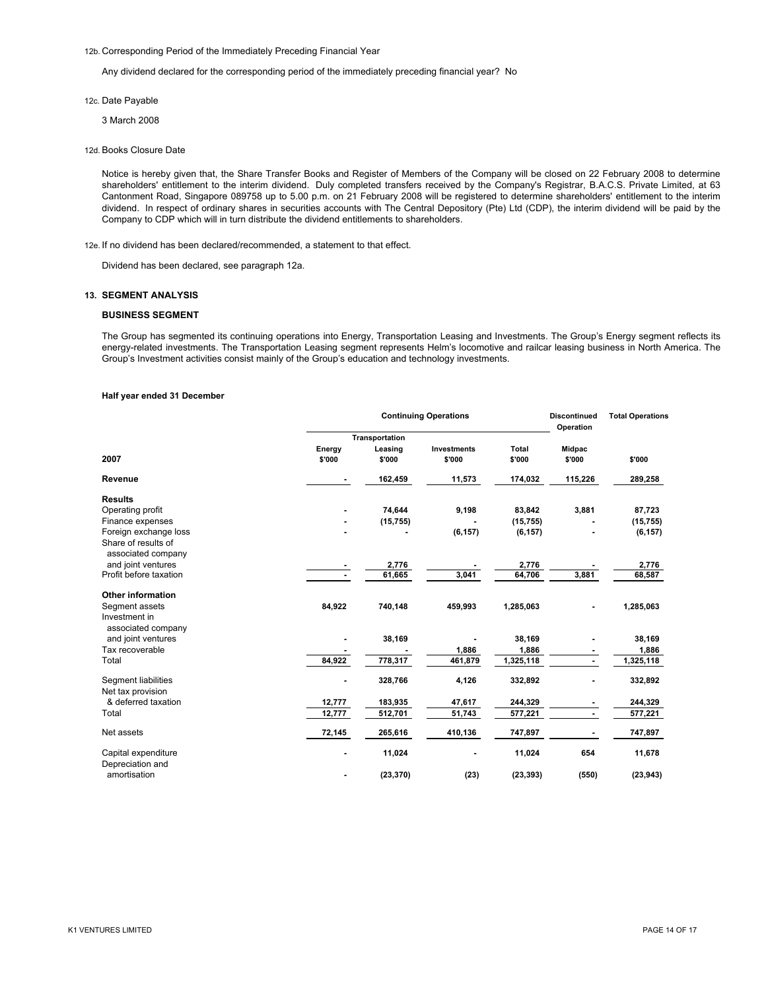12b. Corresponding Period of the Immediately Preceding Financial Year

Any dividend declared for the corresponding period of the immediately preceding financial year? No

- 12c. Date Payable
	- 3 March 2008
- 12d. Books Closure Date

Notice is hereby given that, the Share Transfer Books and Register of Members of the Company will be closed on 22 February 2008 to determine shareholders' entitlement to the interim dividend. Duly completed transfers received by the Company's Registrar, B.A.C.S. Private Limited, at 63 Cantonment Road, Singapore 089758 up to 5.00 p.m. on 21 February 2008 will be registered to determine shareholders' entitlement to the interim dividend. In respect of ordinary shares in securities accounts with The Central Depository (Pte) Ltd (CDP), the interim dividend will be paid by the Company to CDP which will in turn distribute the dividend entitlements to shareholders.

12e. If no dividend has been declared/recommended, a statement to that effect.

Dividend has been declared, see paragraph 12a.

#### **13. SEGMENT ANALYSIS**

#### **BUSINESS SEGMENT**

The Group has segmented its continuing operations into Energy, Transportation Leasing and Investments. The Group's Energy segment reflects its energy-related investments. The Transportation Leasing segment represents Helm's locomotive and railcar leasing business in North America. The Group's Investment activities consist mainly of the Group's education and technology investments.

#### **Half year ended 31 December**

|                                                       |                  | <b>Discontinued</b><br>Operation | <b>Total Operations</b>      |                 |                  |           |
|-------------------------------------------------------|------------------|----------------------------------|------------------------------|-----------------|------------------|-----------|
|                                                       |                  | Transportation                   |                              |                 |                  |           |
| 2007                                                  | Energy<br>\$'000 | Leasing<br>\$'000                | <b>Investments</b><br>\$'000 | Total<br>\$'000 | Midpac<br>\$'000 | \$'000    |
| Revenue                                               | ۰                | 162,459                          | 11,573                       | 174,032         | 115,226          | 289,258   |
| <b>Results</b>                                        |                  |                                  |                              |                 |                  |           |
| Operating profit                                      |                  | 74,644                           | 9,198                        | 83,842          | 3,881            | 87,723    |
| Finance expenses                                      |                  | (15, 755)                        |                              | (15, 755)       |                  | (15, 755) |
| Foreign exchange loss                                 |                  |                                  | (6, 157)                     | (6, 157)        |                  | (6, 157)  |
| Share of results of<br>associated company             |                  |                                  |                              |                 |                  |           |
| and joint ventures                                    |                  | 2,776                            |                              | 2,776           |                  | 2,776     |
| Profit before taxation                                |                  | 61,665                           | 3,041                        | 64,706          | 3,881            | 68,587    |
| <b>Other information</b>                              |                  |                                  |                              |                 |                  |           |
| Segment assets<br>Investment in<br>associated company | 84,922           | 740,148                          | 459,993                      | 1,285,063       |                  | 1,285,063 |
| and joint ventures                                    |                  | 38,169                           |                              | 38,169          |                  | 38,169    |
| Tax recoverable                                       |                  |                                  | 1,886                        | 1,886           |                  | 1,886     |
| Total                                                 | 84,922           | 778,317                          | 461,879                      | 1,325,118       |                  | 1,325,118 |
| Segment liabilities<br>Net tax provision              |                  | 328,766                          | 4,126                        | 332,892         |                  | 332,892   |
| & deferred taxation                                   | 12,777           | 183,935                          | 47,617                       | 244,329         |                  | 244,329   |
| Total                                                 | 12,777           | 512,701                          | 51,743                       | 577,221         | ٠                | 577,221   |
| Net assets                                            | 72,145           | 265,616                          | 410,136                      | 747,897         |                  | 747,897   |
| Capital expenditure<br>Depreciation and               |                  | 11,024                           |                              | 11,024          | 654              | 11,678    |
| amortisation                                          |                  | (23, 370)                        | (23)                         | (23, 393)       | (550)            | (23, 943) |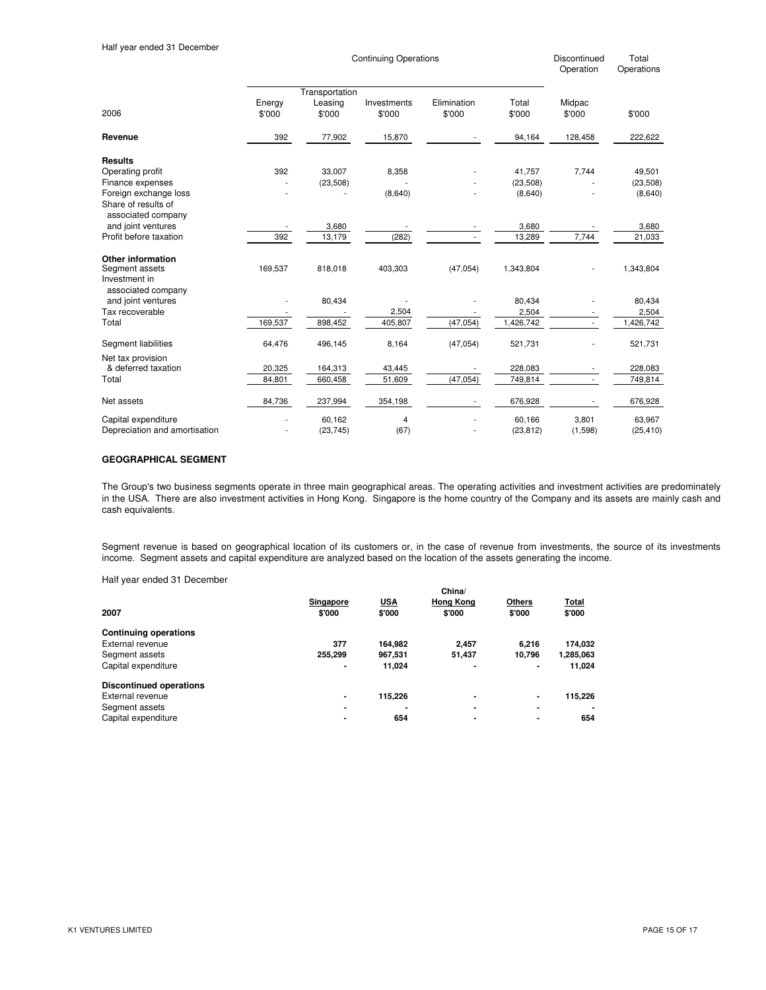| <b>Discontinue</b> |
|--------------------|
| Operation          |

led Total Operations

|                                                                            | Transportation   |                   |                       |                       |                 |                  |           |
|----------------------------------------------------------------------------|------------------|-------------------|-----------------------|-----------------------|-----------------|------------------|-----------|
| 2006                                                                       | Energy<br>\$'000 | Leasing<br>\$'000 | Investments<br>\$'000 | Elimination<br>\$'000 | Total<br>\$'000 | Midpac<br>\$'000 | \$'000    |
| Revenue                                                                    | 392              | 77,902            | 15,870                |                       | 94,164          | 128,458          | 222,622   |
| <b>Results</b>                                                             |                  |                   |                       |                       |                 |                  |           |
| Operating profit                                                           | 392              | 33,007            | 8,358                 |                       | 41,757          | 7,744            | 49,501    |
| Finance expenses                                                           |                  | (23, 508)         |                       |                       | (23, 508)       |                  | (23, 508) |
| Foreign exchange loss                                                      |                  |                   | (8,640)               |                       | (8,640)         |                  | (8,640)   |
| Share of results of<br>associated company                                  |                  |                   |                       |                       |                 |                  |           |
| and joint ventures                                                         |                  | 3,680             |                       |                       | 3,680           |                  | 3,680     |
| Profit before taxation                                                     | 392              | 13,179            | (282)                 |                       | 13,289          | 7,744            | 21,033    |
| Other information<br>Segment assets<br>Investment in<br>associated company | 169,537          | 818,018           | 403,303               | (47,054)              | 1,343,804       |                  | 1,343,804 |
| and joint ventures                                                         |                  | 80,434            |                       |                       | 80,434          |                  | 80,434    |
| Tax recoverable                                                            |                  |                   | 2,504                 |                       | 2,504           |                  | 2,504     |
| Total                                                                      | 169,537          | 898,452           | 405,807               | (47, 054)             | 1,426,742       | ٠                | 1,426,742 |
| Segment liabilities                                                        | 64,476           | 496,145           | 8,164                 | (47, 054)             | 521,731         |                  | 521,731   |
| Net tax provision                                                          |                  |                   |                       |                       |                 |                  |           |
| & deferred taxation                                                        | 20,325           | 164,313           | 43,445                |                       | 228,083         |                  | 228,083   |
| Total                                                                      | 84,801           | 660,458           | 51,609                | (47, 054)             | 749,814         |                  | 749,814   |
| Net assets                                                                 | 84,736           | 237,994           | 354,198               |                       | 676,928         |                  | 676,928   |
| Capital expenditure                                                        |                  | 60,162            | 4                     |                       | 60,166          | 3,801            | 63,967    |
| Depreciation and amortisation                                              |                  | (23, 745)         | (67)                  |                       | (23, 812)       | (1,598)          | (25, 410) |

Continuing Operations

## **GEOGRAPHICAL SEGMENT**

The Group's two business segments operate in three main geographical areas. The operating activities and investment activities are predominately in the USA. There are also investment activities in Hong Kong. Singapore is the home country of the Company and its assets are mainly cash and cash equivalents.

Segment revenue is based on geographical location of its customers or, in the case of revenue from investments, the source of its investments income. Segment assets and capital expenditure are analyzed based on the location of the assets generating the income.

Half year ended 31 December

|                                |                     |                      | China/                     |                         |                 |
|--------------------------------|---------------------|----------------------|----------------------------|-------------------------|-----------------|
| 2007                           | Singapore<br>\$'000 | <b>USA</b><br>\$'000 | <b>Hong Kong</b><br>\$'000 | <b>Others</b><br>\$'000 | Total<br>\$'000 |
| <b>Continuing operations</b>   |                     |                      |                            |                         |                 |
| External revenue               | 377                 | 164.982              | 2.457                      | 6.216                   | 174,032         |
| Segment assets                 | 255,299             | 967.531              | 51,437                     | 10.796                  | 1,285,063       |
| Capital expenditure            | $\blacksquare$      | 11.024               | $\blacksquare$             | ۰                       | 11.024          |
| <b>Discontinued operations</b> |                     |                      |                            |                         |                 |
| External revenue               | $\blacksquare$      | 115,226              | $\blacksquare$             | ٠                       | 115,226         |
| Segment assets                 |                     |                      | $\blacksquare$             | $\blacksquare$          | $\blacksquare$  |
| Capital expenditure            |                     | 654                  | ٠                          | ۰                       | 654             |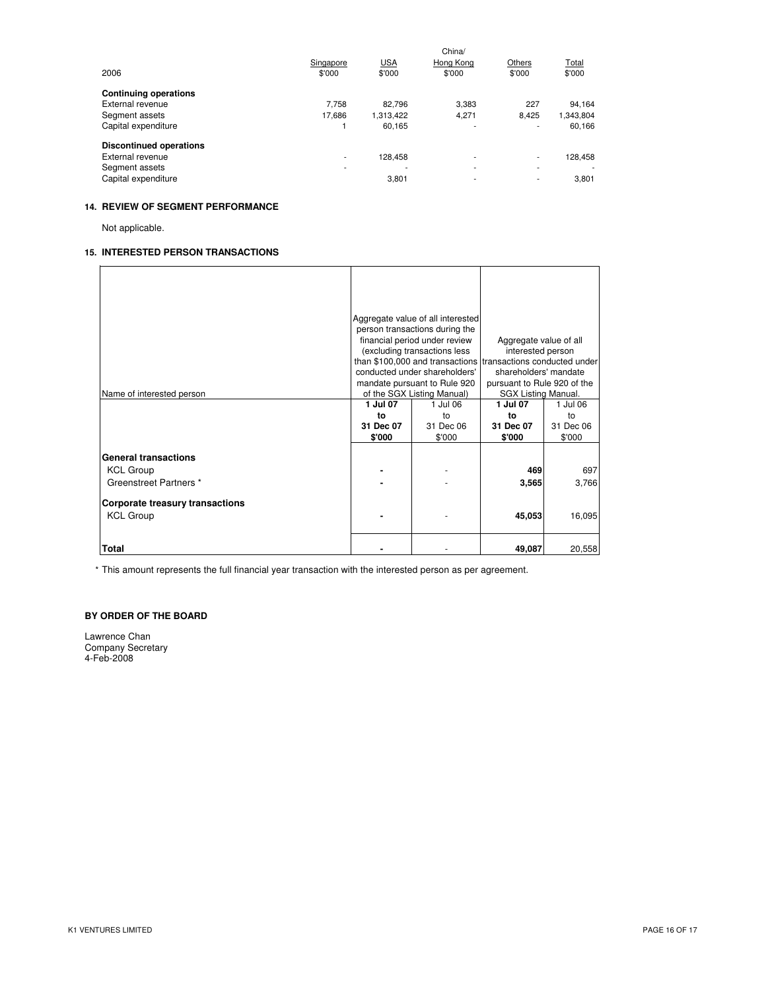|                                | Singapore                | <b>USA</b> | China/<br>Hong Kong      | Others | Total     |
|--------------------------------|--------------------------|------------|--------------------------|--------|-----------|
| 2006                           | \$'000                   | \$'000     | \$'000                   | \$'000 | \$'000    |
| <b>Continuing operations</b>   |                          |            |                          |        |           |
| External revenue               | 7.758                    | 82.796     | 3.383                    | 227    | 94.164    |
| Segment assets                 | 17.686                   | 1,313,422  | 4,271                    | 8.425  | 1,343,804 |
| Capital expenditure            |                          | 60.165     | ۰                        | ۰      | 60.166    |
| <b>Discontinued operations</b> |                          |            |                          |        |           |
| External revenue               | $\overline{\phantom{a}}$ | 128.458    | ٠                        | ۰.     | 128.458   |
| Segment assets                 | ۰                        | ۰          | ٠                        | ٠      |           |
| Capital expenditure            |                          | 3,801      | $\overline{\phantom{a}}$ | ۰      | 3.801     |

# **14. REVIEW OF SEGMENT PERFORMANCE**

Not applicable.

## **15. INTERESTED PERSON TRANSACTIONS**

|                                        | Aggregate value of all interested                            |           |                             |           |
|----------------------------------------|--------------------------------------------------------------|-----------|-----------------------------|-----------|
|                                        | person transactions during the                               |           |                             |           |
|                                        | financial period under review                                |           | Aggregate value of all      |           |
|                                        | (excluding transactions less                                 |           | interested person           |           |
|                                        | than \$100,000 and transactions transactions conducted under |           |                             |           |
|                                        | conducted under shareholders'                                |           | shareholders' mandate       |           |
|                                        | mandate pursuant to Rule 920                                 |           | pursuant to Rule 920 of the |           |
| Name of interested person              | of the SGX Listing Manual)                                   |           | <b>SGX Listing Manual.</b>  |           |
|                                        | 1 Jul 07                                                     | 1 Jul 06  | 1 Jul 07                    | 1 Jul 06  |
|                                        | to                                                           | to        | to                          | to        |
|                                        | 31 Dec 07                                                    | 31 Dec 06 | 31 Dec 07                   | 31 Dec 06 |
|                                        | \$'000                                                       | \$'000    | \$'000                      | \$'000    |
|                                        |                                                              |           |                             |           |
| <b>General transactions</b>            |                                                              |           |                             |           |
| <b>KCL Group</b>                       |                                                              |           | 469                         | 697       |
| Greenstreet Partners *                 |                                                              |           | 3,565                       | 3,766     |
|                                        |                                                              |           |                             |           |
| <b>Corporate treasury transactions</b> |                                                              |           |                             |           |
| <b>KCL Group</b>                       |                                                              |           | 45,053                      | 16,095    |
|                                        |                                                              |           |                             |           |
| Total                                  |                                                              |           |                             |           |
|                                        |                                                              |           | 49,087                      | 20,558    |

\* This amount represents the full financial year transaction with the interested person as per agreement.

# **BY ORDER OF THE BOARD**

Lawrence Chan Company Secretary 4-Feb-2008